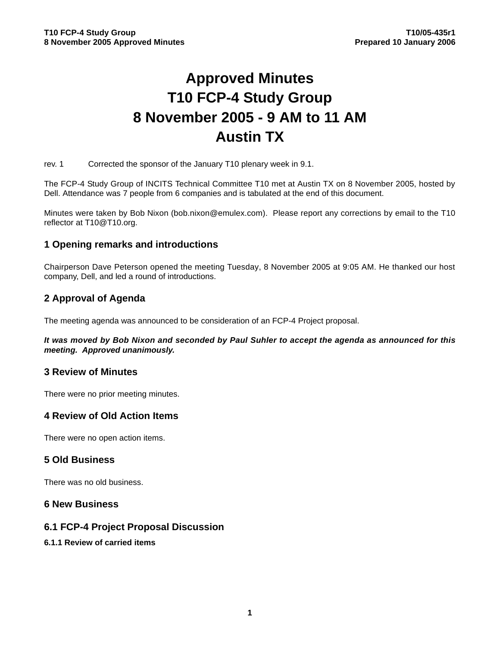# **Approved Minutes T10 FCP-4 Study Group 8 November 2005 - 9 AM to 11 AM Austin TX**

rev. 1 Corrected the sponsor of the January T10 plenary week in 9.1.

The FCP-4 Study Group of INCITS Technical Committee T10 met at Austin TX on 8 November 2005, hosted by Dell. Attendance was 7 people from 6 companies and is tabulated at the end of this document.

Minutes were taken by Bob Nixon (bob.nixon@emulex.com). Please report any corrections by email to the T10 reflector at T10@T10.org.

## **1 Opening remarks and introductions**

Chairperson Dave Peterson opened the meeting Tuesday, 8 November 2005 at 9:05 AM. He thanked our host company, Dell, and led a round of introductions.

# **2 Approval of Agenda**

The meeting agenda was announced to be consideration of an FCP-4 Project proposal.

*It was moved by Bob Nixon and seconded by Paul Suhler to accept the agenda as announced for this meeting. Approved unanimously.*

## **3 Review of Minutes**

There were no prior meeting minutes.

## **4 Review of Old Action Items**

There were no open action items.

## **5 Old Business**

There was no old business.

## **6 New Business**

## **6.1 FCP-4 Project Proposal Discussion**

#### **6.1.1 Review of carried items**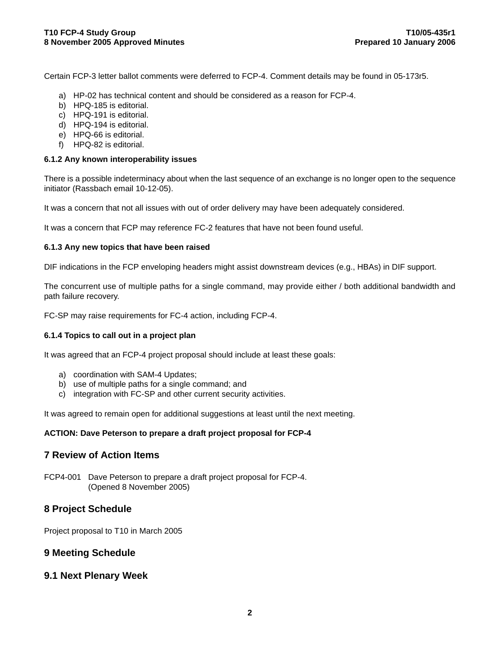Certain FCP-3 letter ballot comments were deferred to FCP-4. Comment details may be found in 05-173r5.

- a) HP-02 has technical content and should be considered as a reason for FCP-4.
- b) HPQ-185 is editorial.
- c) HPQ-191 is editorial.
- d) HPQ-194 is editorial.
- e) HPQ-66 is editorial.
- f) HPQ-82 is editorial.

#### **6.1.2 Any known interoperability issues**

There is a possible indeterminacy about when the last sequence of an exchange is no longer open to the sequence initiator (Rassbach email 10-12-05).

It was a concern that not all issues with out of order delivery may have been adequately considered.

It was a concern that FCP may reference FC-2 features that have not been found useful.

#### **6.1.3 Any new topics that have been raised**

DIF indications in the FCP enveloping headers might assist downstream devices (e.g., HBAs) in DIF support.

The concurrent use of multiple paths for a single command, may provide either / both additional bandwidth and path failure recovery.

FC-SP may raise requirements for FC-4 action, including FCP-4.

#### **6.1.4 Topics to call out in a project plan**

It was agreed that an FCP-4 project proposal should include at least these goals:

- a) coordination with SAM-4 Updates;
- b) use of multiple paths for a single command; and
- c) integration with FC-SP and other current security activities.

It was agreed to remain open for additional suggestions at least until the next meeting.

#### **ACTION: Dave Peterson to prepare a draft project proposal for FCP-4**

## **7 Review of Action Items**

FCP4-001 Dave Peterson to prepare a draft project proposal for FCP-4. (Opened 8 November 2005)

## **8 Project Schedule**

Project proposal to T10 in March 2005

## **9 Meeting Schedule**

#### **9.1 Next Plenary Week**